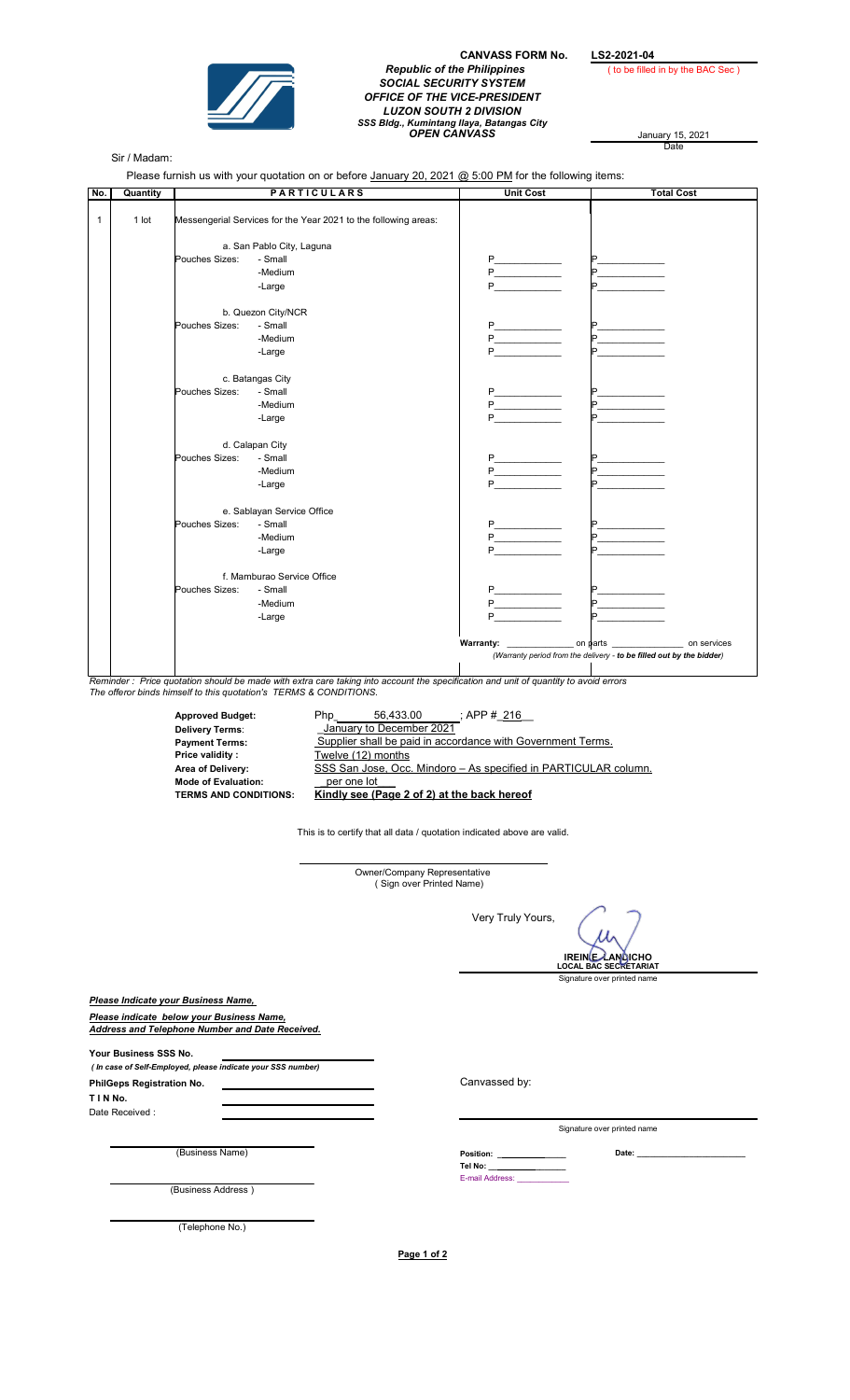

CANVASS FORM No. LS2-2021-04 Republic of the Philippines ( to be filled in by the BAC Sec ) SOCIAL SECURITY SYSTEM OFFICE OF THE VICE-PRESIDENT LUZON SOUTH 2 DIVISION SSS Bldg., Kumintang Ilaya, Batangas City<br>**OPEN CANVASS** January 15, 2021

January 15, 2021<br>Date

Sir / Madam:

Please furnish us with your quotation on or before January 20, 2021 @ 5:00 PM for the following items:

| No.          | Quantity |                                                                                                                           | <b>PARTICULARS</b>                                                                                                                  | <b>Unit Cost</b>                                                     | <b>Total Cost</b> |
|--------------|----------|---------------------------------------------------------------------------------------------------------------------------|-------------------------------------------------------------------------------------------------------------------------------------|----------------------------------------------------------------------|-------------------|
| $\mathbf{1}$ | $1$ lot  | Messengerial Services for the Year 2021 to the following areas:<br>a. San Pablo City, Laguna<br>Pouches Sizes:<br>- Small |                                                                                                                                     |                                                                      |                   |
|              |          |                                                                                                                           |                                                                                                                                     |                                                                      |                   |
|              |          |                                                                                                                           |                                                                                                                                     |                                                                      |                   |
|              |          |                                                                                                                           | -Medium                                                                                                                             |                                                                      |                   |
|              |          |                                                                                                                           | -Large                                                                                                                              |                                                                      |                   |
|              |          |                                                                                                                           |                                                                                                                                     |                                                                      |                   |
|              |          |                                                                                                                           | b. Quezon City/NCR                                                                                                                  |                                                                      |                   |
|              |          | Pouches Sizes:                                                                                                            | - Small                                                                                                                             |                                                                      |                   |
|              |          |                                                                                                                           | -Medium                                                                                                                             |                                                                      |                   |
|              |          |                                                                                                                           | -Large                                                                                                                              |                                                                      |                   |
|              |          | c. Batangas City                                                                                                          |                                                                                                                                     |                                                                      |                   |
|              |          | Pouches Sizes:                                                                                                            | - Small                                                                                                                             | $P_{\text{}}$                                                        |                   |
|              |          |                                                                                                                           | -Medium                                                                                                                             |                                                                      |                   |
|              |          |                                                                                                                           | -Large                                                                                                                              |                                                                      |                   |
|              |          |                                                                                                                           | d. Calapan City                                                                                                                     |                                                                      |                   |
|              |          | Pouches Sizes:                                                                                                            | - Small                                                                                                                             |                                                                      |                   |
|              |          |                                                                                                                           | -Medium                                                                                                                             |                                                                      |                   |
|              |          |                                                                                                                           | -Large                                                                                                                              |                                                                      |                   |
|              |          |                                                                                                                           | e. Sablayan Service Office                                                                                                          |                                                                      |                   |
|              |          | Pouches Sizes:                                                                                                            | - Small                                                                                                                             |                                                                      |                   |
|              |          |                                                                                                                           | -Medium                                                                                                                             |                                                                      |                   |
|              |          |                                                                                                                           | -Large                                                                                                                              |                                                                      |                   |
|              |          |                                                                                                                           | f. Mamburao Service Office                                                                                                          |                                                                      |                   |
|              |          | Pouches Sizes:                                                                                                            | - Small                                                                                                                             |                                                                      |                   |
|              |          |                                                                                                                           | -Medium                                                                                                                             | P                                                                    |                   |
|              |          |                                                                                                                           | -Large                                                                                                                              |                                                                      |                   |
|              |          |                                                                                                                           |                                                                                                                                     |                                                                      |                   |
|              |          |                                                                                                                           |                                                                                                                                     | (Warranty period from the delivery - to be filled out by the bidder) |                   |
|              |          |                                                                                                                           | Reminder: Price quotation should be made with extra care taking into account the specification and unit of quantity to avoid errors |                                                                      |                   |

The offeror binds himself to this quotation's TERMS & CONDITIONS.

Price validity : Twelve (12) months Area of Delivery: Mode of Evaluation: \_per one lot\_\_\_

Approved Budget: 56,433.00 Php\_\_\_\_\_\_\_\_\_\_\_\_\_\_\_\_\_\_\_\_ ;; APP #\_216\_\_ Payment Terms: Supplier shall be paid in accordance with Government Terms. TERMS AND CONDITIONS: Kindly see (Page 2 of 2) at the back hereof Delivery Terms: **Delivery Terms:** January to December 2021 SSS San Jose, Occ. Mindoro - As specified in PARTICULAR column.

This is to certify that all data / quotation indicated above are valid.

\_\_\_\_\_\_\_\_\_\_\_\_\_\_\_\_\_\_\_\_\_\_\_\_\_\_\_\_\_\_\_\_\_\_\_\_\_\_\_\_\_\_\_\_\_\_\_\_

Owner/Company Representative ( Sign over Printed Name) Very Truly Yours, Signature over printed name Please Indicate your Business Name, Please indicate below your Business Name, Address and Telephone Number and Date Received. Your Business SSS No. ( In case of Self-Employed, please indicate your SSS number) Canvassed by: T I N No. Date Received : Signature over printed name (Business Name) Date: \_\_\_\_\_\_\_\_\_\_\_\_\_\_\_\_\_\_\_\_\_\_\_\_\_ E-mail Address: (Business Address ) (Telephone No.) IREINE LANGICHO LOCAL BAC SECRETARIAT PhilGeps Registration No. on: Tel No:

Page 1 of 2